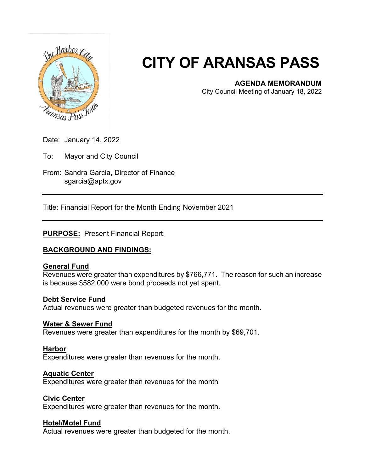

# **CITY OF ARANSAS PASS**

### **AGENDA MEMORANDUM**

City Council Meeting of January 18, 2022

Date: January 14, 2022

To: Mayor and City Council

From: Sandra Garcia, Director of Finance sgarcia@aptx.gov

Title: Financial Report for the Month Ending November 2021

#### **PURPOSE:** Present Financial Report.

# **BACKGROUND AND FINDINGS:**

#### **General Fund**

Revenues were greater than expenditures by \$766,771. The reason for such an increase is because \$582,000 were bond proceeds not yet spent.

#### **Debt Service Fund**

Actual revenues were greater than budgeted revenues for the month.

#### **Water & Sewer Fund**

Revenues were greater than expenditures for the month by \$69,701.

#### **Harbor**

Expenditures were greater than revenues for the month.

#### **Aquatic Center**

Expenditures were greater than revenues for the month

#### **Civic Center**

Expenditures were greater than revenues for the month.

#### **Hotel/Motel Fund**

Actual revenues were greater than budgeted for the month.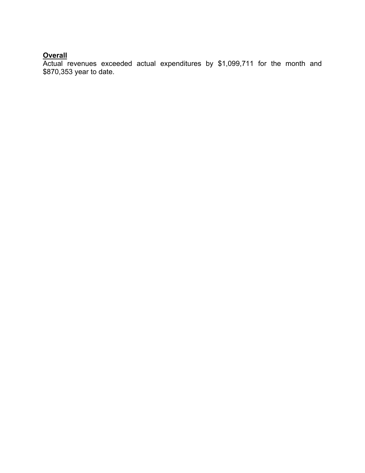# **Overall**

Actual revenues exceeded actual expenditures by \$1,099,711 for the month and \$870,353 year to date.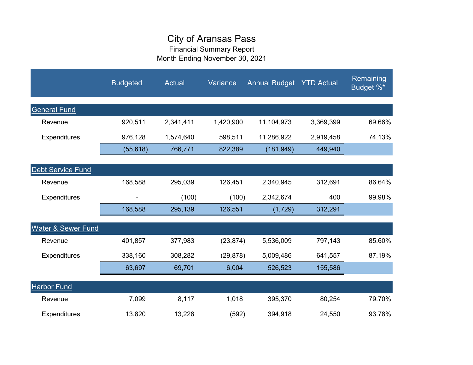# City of Aransas Pass

Financial Summary Report Month Ending November 30, 2021

|                               | <b>Budgeted</b> | <b>Actual</b> | Variance  | <b>Annual Budget YTD Actual</b> |           | Remaining<br>Budget %* |
|-------------------------------|-----------------|---------------|-----------|---------------------------------|-----------|------------------------|
| <b>General Fund</b>           |                 |               |           |                                 |           |                        |
| Revenue                       | 920,511         | 2,341,411     | 1,420,900 | 11,104,973                      | 3,369,399 | 69.66%                 |
| <b>Expenditures</b>           | 976,128         | 1,574,640     | 598,511   | 11,286,922                      | 2,919,458 | 74.13%                 |
|                               | (55, 618)       | 766,771       | 822,389   | (181, 949)                      | 449,940   |                        |
| <b>Debt Service Fund</b>      |                 |               |           |                                 |           |                        |
| Revenue                       | 168,588         | 295,039       | 126,451   | 2,340,945                       | 312,691   | 86.64%                 |
| Expenditures                  |                 | (100)         | (100)     | 2,342,674                       | 400       | 99.98%                 |
|                               | 168,588         | 295,139       | 126,551   | (1, 729)                        | 312,291   |                        |
| <b>Water &amp; Sewer Fund</b> |                 |               |           |                                 |           |                        |
| Revenue                       | 401,857         | 377,983       | (23, 874) | 5,536,009                       | 797,143   | 85.60%                 |
| <b>Expenditures</b>           | 338,160         | 308,282       | (29, 878) | 5,009,486                       | 641,557   | 87.19%                 |
|                               | 63,697          | 69,701        | 6,004     | 526,523                         | 155,586   |                        |
| <b>Harbor Fund</b>            |                 |               |           |                                 |           |                        |
| Revenue                       | 7,099           | 8,117         | 1,018     | 395,370                         | 80,254    | 79.70%                 |
| <b>Expenditures</b>           | 13,820          | 13,228        | (592)     | 394,918                         | 24,550    | 93.78%                 |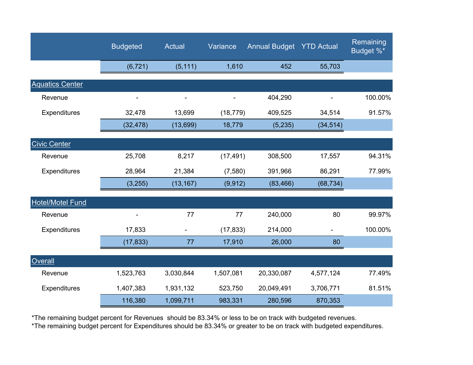|                         | <b>Budgeted</b> | Actual    | Variance  | <b>Annual Budget YTD Actual</b> |           | Remaining<br>Budget %* |
|-------------------------|-----------------|-----------|-----------|---------------------------------|-----------|------------------------|
|                         | (6, 721)        | (5, 111)  | 1,610     | 452                             | 55,703    |                        |
| <b>Aquatics Center</b>  |                 |           |           |                                 |           |                        |
| Revenue                 |                 |           |           | 404,290                         |           | 100.00%                |
| Expenditures            | 32,478          | 13,699    | (18, 779) | 409,525                         | 34,514    | 91.57%                 |
|                         | (32, 478)       | (13,699)  | 18,779    | (5,235)                         | (34, 514) |                        |
| <b>Civic Center</b>     |                 |           |           |                                 |           |                        |
| Revenue                 | 25,708          | 8,217     | (17, 491) | 308,500                         | 17,557    | 94.31%                 |
| Expenditures            | 28,964          | 21,384    | (7,580)   | 391,966                         | 86,291    | 77.99%                 |
|                         | (3,255)         | (13, 167) | (9, 912)  | (83, 466)                       | (68, 734) |                        |
| <b>Hotel/Motel Fund</b> |                 |           |           |                                 |           |                        |
| Revenue                 |                 | 77        | 77        | 240,000                         | 80        | 99.97%                 |
| Expenditures            | 17,833          |           | (17, 833) | 214,000                         |           | 100.00%                |
|                         | (17, 833)       | 77        | 17,910    | 26,000                          | 80        |                        |
| Overall                 |                 |           |           |                                 |           |                        |
| Revenue                 | 1,523,763       | 3,030,844 | 1,507,081 | 20,330,087                      | 4,577,124 | 77.49%                 |
| Expenditures            | 1,407,383       | 1,931,132 | 523,750   | 20,049,491                      | 3,706,771 | 81.51%                 |
|                         | 116,380         | 1,099,711 | 983,331   | 280,596                         | 870,353   |                        |

\*The remaining budget percent for Revenues should be 83.34% or less to be on track with budgeted revenues.

\*The remaining budget percent for Expenditures should be 83.34% or greater to be on track with budgeted expenditures.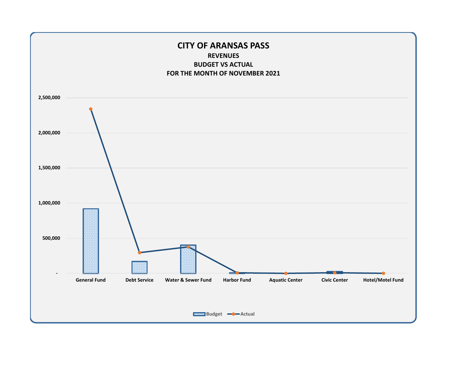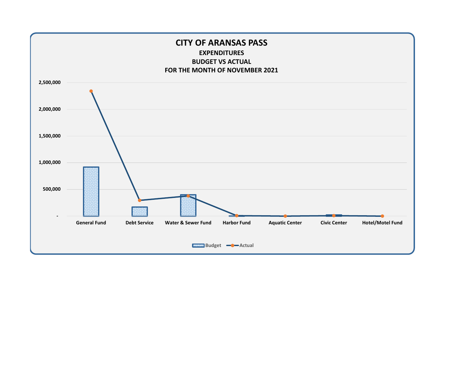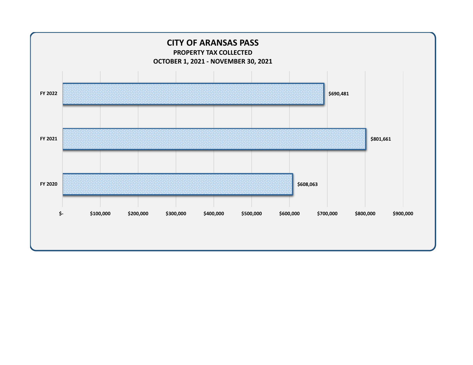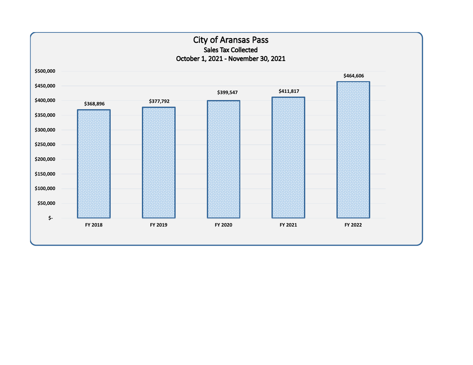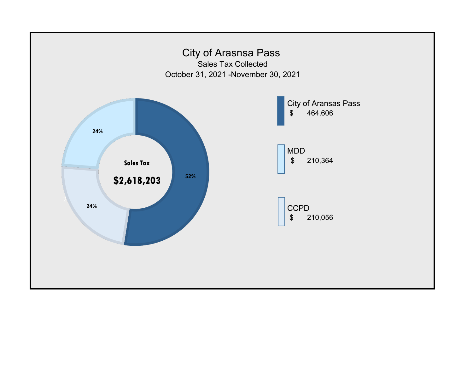